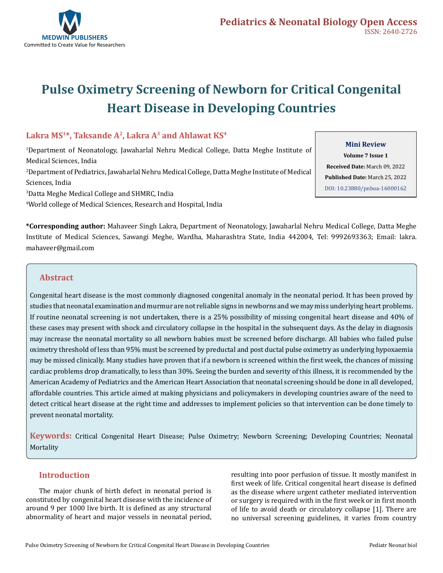

# **Pulse Oximetry Screening of Newborn for Critical Congenital Heart Disease in Developing Countries**

# **Lakra MS1\*, Taksande A2, Lakra A3 and Ahlawat KS4**

1 Department of Neonatology, Jawaharlal Nehru Medical College, Datta Meghe Institute of Medical Sciences, India 2 Department of Pediatrics, Jawaharlal Nehru Medical College, Datta Meghe Institute of Medical Sciences, India 3 Datta Meghe Medical College and SHMRC, India

4 World college of Medical Sciences, Research and Hospital, India

**Mini Review**

**Volume 7 Issue 1 Received Date:** March 09, 2022 **Published Date:** March 25, 2022 [DOI: 10.23880/pnboa-16000162](https://doi.org/10.23880/pnboa-16000162)

**\*Corresponding author:** Mahaveer Singh Lakra, Department of Neonatology, Jawaharlal Nehru Medical College, Datta Meghe Institute of Medical Sciences, Sawangi Meghe, Wardha, Maharashtra State, India 442004, Tel: 9992693363; Email: lakra. mahaveer@gmail.com

## **Abstract**

Congenital heart disease is the most commonly diagnosed congenital anomaly in the neonatal period. It has been proved by studies that neonatal examination and murmur are not reliable signs in newborns and we may miss underlying heart problems. If routine neonatal screening is not undertaken, there is a 25% possibility of missing congenital heart disease and 40% of these cases may present with shock and circulatory collapse in the hospital in the subsequent days. As the delay in diagnosis may increase the neonatal mortality so all newborn babies must be screened before discharge. All babies who failed pulse oximetry threshold of less than 95% must be screened by preductal and post ductal pulse oximetry as underlying hypoxaemia may be missed clinically. Many studies have proven that if a newborn is screened within the first week, the chances of missing cardiac problems drop dramatically, to less than 30%. Seeing the burden and severity of this illness, it is recommended by the American Academy of Pediatrics and the American Heart Association that neonatal screening should be done in all developed, affordable countries. This article aimed at making physicians and policymakers in developing countries aware of the need to detect critical heart disease at the right time and addresses to implement policies so that intervention can be done timely to prevent neonatal mortality.

**Keywords:** Critical Congenital Heart Disease; Pulse Oximetry; Newborn Screening; Developing Countries; Neonatal Mortality

## **Introduction**

The major chunk of birth defect in neonatal period is constituted by congenital heart disease with the incidence of around 9 per 1000 live birth. It is defined as any structural abnormality of heart and major vessels in neonatal period, resulting into poor perfusion of tissue. It mostly manifest in first week of life. Critical congenital heart disease is defined as the disease where urgent catheter mediated intervention or surgery is required with in the first week or in first month of life to avoid death or circulatory collapse [1]. There are no universal screening guidelines, it varies from country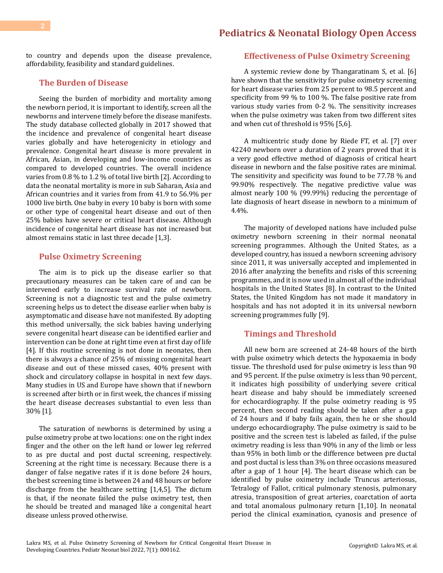# **[Pediatrics & Neonatal Biology Open Access](https://medwinpublishers.com/PNBOA/)**

to country and depends upon the disease prevalence, affordability, feasibility and standard guidelines.

### **The Burden of Disease**

Seeing the burden of morbidity and mortality among the newborn period, it is important to identify, screen all the newborns and intervene timely before the disease manifests. The study database collected globally in 2017 showed that the incidence and prevalence of congenital heart disease varies globally and have heterogenicity in etiology and prevalence. Congenital heart disease is more prevalent in African, Asian, in developing and low-income countries as compared to developed countries. The overall incidence varies from 0.8 % to 1.2 % of total live birth [2]. According to data the neonatal mortality is more in sub Saharan, Asia and African countries and it varies from from 41.9 to 56.9% per 1000 live birth. One baby in every 10 baby is born with some or other type of congenital heart disease and out of then 25% babies have severe or critical heart disease. Although incidence of congenital heart disease has not increased but almost remains static in last three decade [1,3].

## **Pulse Oximetry Screening**

The aim is to pick up the disease earlier so that precautionary measures can be taken care of and can be intervened early to increase survival rate of newborn. Screening is not a diagnostic test and the pulse oximetry screening helps us to detect the disease earlier when baby is asymptomatic and disease have not manifested. By adopting this method universally, the sick babies having underlying severe congenital heart disease can be identified earlier and intervention can be done at right time even at first day of life [4]. If this routine screening is not done in neonates, then there is always a chance of 25% of missing congenital heart disease and out of these missed cases, 40% present with shock and circulatory collapse in hospital in next few days. Many studies in US and Europe have shown that if newborn is screened after birth or in first week, the chances if missing the heart disease decreases substantial to even less than 30% [1].

The saturation of newborns is determined by using a pulse oximetry probe at two locations: one on the right index finger and the other on the left hand or lower leg referred to as pre ductal and post ductal screening, respectively. Screening at the right time is necessary. Because there is a danger of false negative rates if it is done before 24 hours, the best screening time is between 24 and 48 hours or before discharge from the healthcare setting [1,4,5]. The dictum is that, if the neonate failed the pulse oximetry test, then he should be treated and managed like a congenital heart disease unless proved otherwise.

## **Effectiveness of Pulse Oximetry Screening**

A systemic review done by Thangaratinam S, et al. [6] have shown that the sensitivity for pulse oximetry screening for heart disease varies from 25 percent to 98.5 percent and specificity from 99 % to 100 %. The false positive rate from various study varies from 0-2 %. The sensitivity increases when the pulse oximetry was taken from two different sites and when cut of threshold is 95% [5,6].

A multicentric study done by Riede FT, et al. [7] over 42240 newborn over a duration of 2 years proved that it is a very good effective method of diagnosis of critical heart disease in newborn and the false positive rates are minimal. The sensitivity and specificity was found to be 77.78 % and 99.90% respectively. The negative predictive value was almost nearly 100 % (99.99%) reducing the percentage of late diagnosis of heart disease in newborn to a minimum of 4.4%.

The majority of developed nations have included pulse oximetry newborn screening in their normal neonatal screening programmes. Although the United States, as a developed country, has issued a newborn screening advisory since 2011, it was universally accepted and implemented in 2016 after analyzing the benefits and risks of this screening programmes, and it is now used in almost all of the individual hospitals in the United States [8]. In contrast to the United States, the United Kingdom has not made it mandatory in hospitals and has not adopted it in its universal newborn screening programmes fully [9].

#### **Timings and Threshold**

All new born are screened at 24-48 hours of the birth with pulse oximetry which detects the hypoxaemia in body tissue. The threshold used for pulse oximetry is less than 90 and 95 percent. If the pulse oximetry is less than 90 percent, it indicates high possibility of underlying severe critical heart disease and baby should be immediately screened for echocardiography. If the pulse oximetry reading is 95 percent, then second reading should be taken after a gap of 24 hours and if baby fails again, then he or she should undergo echocardiography. The pulse oximetry is said to be positive and the screen test is labeled as failed, if the pulse oximetry reading is less than 90% in any of the limb or less than 95% in both limb or the difference between pre ductal and post ductal is less than 3% on three occasions measured after a gap of 1 hour [4]. The heart disease which can be identified by pulse oximetry include Truncus arteriosus, Tetralogy of Fallot, critical pulmonary stenosis, pulmonary atresia, transposition of great arteries, coarctation of aorta and total anomalous pulmonary return [1,10]. In neonatal period the clinical examination, cyanosis and presence of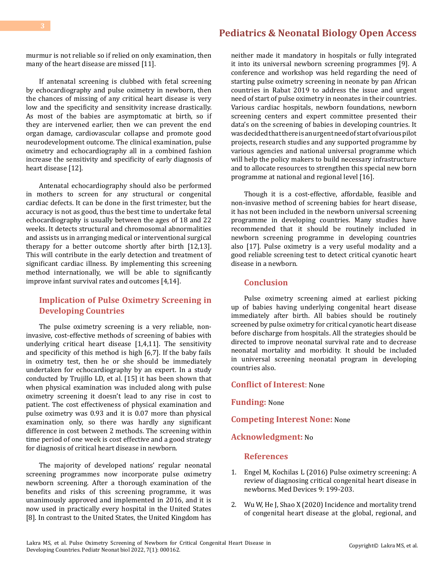# **[Pediatrics & Neonatal Biology Open Access](https://medwinpublishers.com/PNBOA/)**

murmur is not reliable so if relied on only examination, then many of the heart disease are missed [11].

If antenatal screening is clubbed with fetal screening by echocardiography and pulse oximetry in newborn, then the chances of missing of any critical heart disease is very low and the specificity and sensitivity increase drastically. As most of the babies are asymptomatic at birth, so if they are intervened earlier, then we can prevent the end organ damage, cardiovascular collapse and promote good neurodevelopment outcome. The clinical examination, pulse oximetry and echocardiography all in a combined fashion increase the sensitivity and specificity of early diagnosis of heart disease [12].

Antenatal echocardiography should also be performed in mothers to screen for any structural or congenital cardiac defects. It can be done in the first trimester, but the accuracy is not as good, thus the best time to undertake fetal echocardiography is usually between the ages of 18 and 22 weeks. It detects structural and chromosomal abnormalities and assists us in arranging medical or interventional surgical therapy for a better outcome shortly after birth [12,13]. This will contribute in the early detection and treatment of significant cardiac illness. By implementing this screening method internationally, we will be able to significantly improve infant survival rates and outcomes [4,14].

# **Implication of Pulse Oximetry Screening in Developing Countries**

The pulse oximetry screening is a very reliable, noninvasive, cost-effective methods of screening of babies with underlying critical heart disease [1,4,11]. The sensitivity and specificity of this method is high [6,7]. If the baby fails in oximetry test, then he or she should be immediately undertaken for echocardiography by an expert. In a study conducted by Trujillo LD, et al. [15] it has been shown that when physical examination was included along with pulse oximetry screening it doesn't lead to any rise in cost to patient. The cost effectiveness of physical examination and pulse oximetry was 0.93 and it is 0.07 more than physical examination only, so there was hardly any significant difference in cost between 2 methods. The screening within time period of one week is cost effective and a good strategy for diagnosis of critical heart disease in newborn.

The majority of developed nations' regular neonatal screening programmes now incorporate pulse oximetry newborn screening. After a thorough examination of the benefits and risks of this screening programme, it was unanimously approved and implemented in 2016, and it is now used in practically every hospital in the United States [8]. In contrast to the United States, the United Kingdom has

neither made it mandatory in hospitals or fully integrated it into its universal newborn screening programmes [9]. A conference and workshop was held regarding the need of starting pulse oximetry screening in neonate by pan African countries in Rabat 2019 to address the issue and urgent need of start of pulse oximetry in neonates in their countries. Various cardiac hospitals, newborn foundations, newborn screening centers and expert committee presented their data's on the screening of babies in developing countries. It was decided that there is an urgent need of start of various pilot projects, research studies and any supported programme by various agencies and national universal programme which will help the policy makers to build necessary infrastructure and to allocate resources to strengthen this special new born programme at national and regional level [16].

Though it is a cost-effective, affordable, feasible and non-invasive method of screening babies for heart disease, it has not been included in the newborn universal screening programme in developing countries. Many studies have recommended that it should be routinely included in newborn screening programme in developing countries also [17]. Pulse oximetry is a very useful modality and a good reliable screening test to detect critical cyanotic heart disease in a newborn.

## **Conclusion**

Pulse oximetry screening aimed at earliest picking up of babies having underlying congenital heart disease immediately after birth. All babies should be routinely screened by pulse oximetry for critical cyanotic heart disease before discharge from hospitals. All the strategies should be directed to improve neonatal survival rate and to decrease neonatal mortality and morbidity. It should be included in universal screening neonatal program in developing countries also.

#### **Conflict of Interest**: None

**Funding:** None

**Competing Interest None:** None

## **Acknowledgment:** No

#### **References**

- 1. [Engel M, Kochilas L \(2016\) Pulse oximetry screening: A](https://pubmed.ncbi.nlm.nih.gov/27468253/)  [review of diagnosing critical congenital heart disease in](https://pubmed.ncbi.nlm.nih.gov/27468253/)  [newborns. Med Devices 9: 199-203.](https://pubmed.ncbi.nlm.nih.gov/27468253/)
- 2. [Wu W, He J, Shao X \(2020\) Incidence and mortality trend](https://pubmed.ncbi.nlm.nih.gov/32502030/) [of congenital heart disease at the global, regional, and](https://pubmed.ncbi.nlm.nih.gov/32502030/)